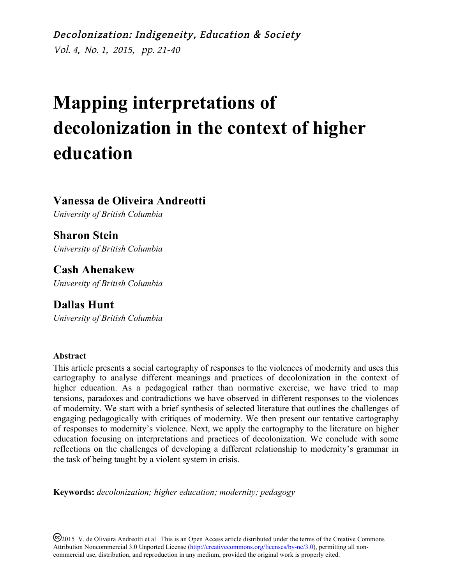Decolonization: Indigeneity, Education & Society Vol. 4, No. 1, 2015, pp. 21-40

# **Mapping interpretations of decolonization in the context of higher education**

**Vanessa de Oliveira Andreotti**

*University of British Columbia*

**Sharon Stein** *University of British Columbia*

**Cash Ahenakew** *University of British Columbia*

**Dallas Hunt** *University of British Columbia*

#### **Abstract**

This article presents a social cartography of responses to the violences of modernity and uses this cartography to analyse different meanings and practices of decolonization in the context of higher education. As a pedagogical rather than normative exercise, we have tried to map tensions, paradoxes and contradictions we have observed in different responses to the violences of modernity. We start with a brief synthesis of selected literature that outlines the challenges of engaging pedagogically with critiques of modernity. We then present our tentative cartography of responses to modernity's violence. Next, we apply the cartography to the literature on higher education focusing on interpretations and practices of decolonization. We conclude with some reflections on the challenges of developing a different relationship to modernity's grammar in the task of being taught by a violent system in crisis.

**Keywords:** *decolonization; higher education; modernity; pedagogy*

<sup>(cc)</sup>2015 V. de Oliveira Andreotti et al This is an Open Access article distributed under the terms of the Creative Commons Attribution Noncommercial 3.0 Unported License (http://creativecommons.org/licenses/by-nc/3.0), permitting all noncommercial use, distribution, and reproduction in any medium, provided the original work is properly cited.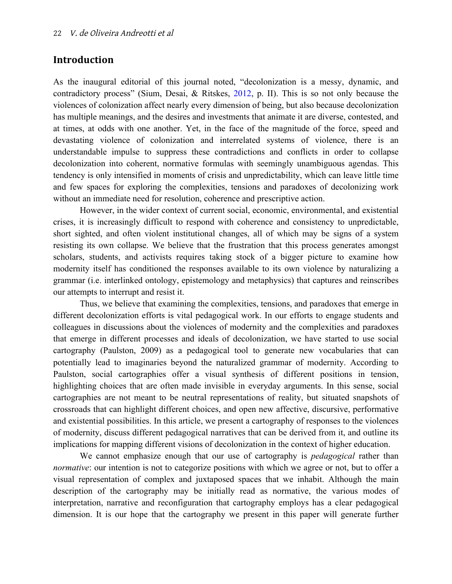## **Introduction**

As the inaugural editorial of this journal noted, "decolonization is a messy, dynamic, and contradictory process" (Sium, Desai, & Ritskes, [2012,](http://decolonization.org/index.php/des/article/view/18638/15564) p. II). This is so not only because the violences of colonization affect nearly every dimension of being, but also because decolonization has multiple meanings, and the desires and investments that animate it are diverse, contested, and at times, at odds with one another. Yet, in the face of the magnitude of the force, speed and devastating violence of colonization and interrelated systems of violence, there is an understandable impulse to suppress these contradictions and conflicts in order to collapse decolonization into coherent, normative formulas with seemingly unambiguous agendas. This tendency is only intensified in moments of crisis and unpredictability, which can leave little time and few spaces for exploring the complexities, tensions and paradoxes of decolonizing work without an immediate need for resolution, coherence and prescriptive action.

However, in the wider context of current social, economic, environmental, and existential crises, it is increasingly difficult to respond with coherence and consistency to unpredictable, short sighted, and often violent institutional changes, all of which may be signs of a system resisting its own collapse. We believe that the frustration that this process generates amongst scholars, students, and activists requires taking stock of a bigger picture to examine how modernity itself has conditioned the responses available to its own violence by naturalizing a grammar (i.e. interlinked ontology, epistemology and metaphysics) that captures and reinscribes our attempts to interrupt and resist it.

Thus, we believe that examining the complexities, tensions, and paradoxes that emerge in different decolonization efforts is vital pedagogical work. In our efforts to engage students and colleagues in discussions about the violences of modernity and the complexities and paradoxes that emerge in different processes and ideals of decolonization, we have started to use social cartography (Paulston, 2009) as a pedagogical tool to generate new vocabularies that can potentially lead to imaginaries beyond the naturalized grammar of modernity. According to Paulston, social cartographies offer a visual synthesis of different positions in tension, highlighting choices that are often made invisible in everyday arguments. In this sense, social cartographies are not meant to be neutral representations of reality, but situated snapshots of crossroads that can highlight different choices, and open new affective, discursive, performative and existential possibilities. In this article, we present a cartography of responses to the violences of modernity, discuss different pedagogical narratives that can be derived from it, and outline its implications for mapping different visions of decolonization in the context of higher education.

We cannot emphasize enough that our use of cartography is *pedagogical* rather than *normative*: our intention is not to categorize positions with which we agree or not, but to offer a visual representation of complex and juxtaposed spaces that we inhabit. Although the main description of the cartography may be initially read as normative, the various modes of interpretation, narrative and reconfiguration that cartography employs has a clear pedagogical dimension. It is our hope that the cartography we present in this paper will generate further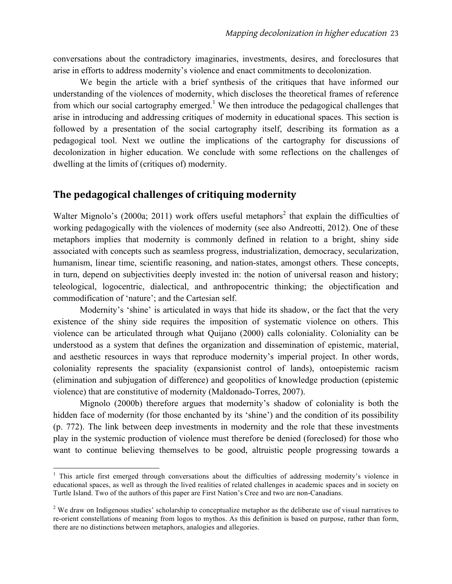conversations about the contradictory imaginaries, investments, desires, and foreclosures that arise in efforts to address modernity's violence and enact commitments to decolonization.

We begin the article with a brief synthesis of the critiques that have informed our understanding of the violences of modernity, which discloses the theoretical frames of reference from which our social cartography emerged.<sup>1</sup> We then introduce the pedagogical challenges that arise in introducing and addressing critiques of modernity in educational spaces. This section is followed by a presentation of the social cartography itself, describing its formation as a pedagogical tool. Next we outline the implications of the cartography for discussions of decolonization in higher education. We conclude with some reflections on the challenges of dwelling at the limits of (critiques of) modernity.

## **The pedagogical challenges of critiquing modernity**

Walter Mignolo's (2000a; 2011) work offers useful metaphors<sup>2</sup> that explain the difficulties of working pedagogically with the violences of modernity (see also Andreotti, 2012). One of these metaphors implies that modernity is commonly defined in relation to a bright, shiny side associated with concepts such as seamless progress, industrialization, democracy, secularization, humanism, linear time, scientific reasoning, and nation-states, amongst others. These concepts, in turn, depend on subjectivities deeply invested in: the notion of universal reason and history; teleological, logocentric, dialectical, and anthropocentric thinking; the objectification and commodification of 'nature'; and the Cartesian self.

Modernity's 'shine' is articulated in ways that hide its shadow, or the fact that the very existence of the shiny side requires the imposition of systematic violence on others. This violence can be articulated through what Quijano (2000) calls coloniality. Coloniality can be understood as a system that defines the organization and dissemination of epistemic, material, and aesthetic resources in ways that reproduce modernity's imperial project. In other words, coloniality represents the spaciality (expansionist control of lands), ontoepistemic racism (elimination and subjugation of difference) and geopolitics of knowledge production (epistemic violence) that are constitutive of modernity (Maldonado-Torres, 2007).

Mignolo (2000b) therefore argues that modernity's shadow of coloniality is both the hidden face of modernity (for those enchanted by its 'shine') and the condition of its possibility (p. 772). The link between deep investments in modernity and the role that these investments play in the systemic production of violence must therefore be denied (foreclosed) for those who want to continue believing themselves to be good, altruistic people progressing towards a

<u> 1989 - Johann Stein, fransk politik (d. 1989)</u>

<sup>&</sup>lt;sup>1</sup> This article first emerged through conversations about the difficulties of addressing modernity's violence in educational spaces, as well as through the lived realities of related challenges in academic spaces and in society on Turtle Island. Two of the authors of this paper are First Nation's Cree and two are non-Canadians.

<sup>&</sup>lt;sup>2</sup> We draw on Indigenous studies' scholarship to conceptualize metaphor as the deliberate use of visual narratives to re-orient constellations of meaning from logos to mythos. As this definition is based on purpose, rather than form, there are no distinctions between metaphors, analogies and allegories.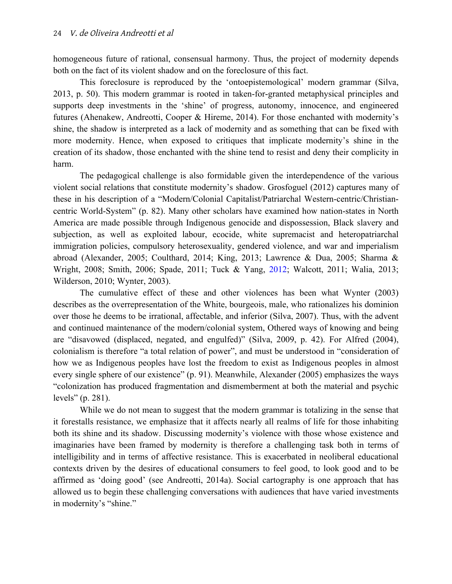homogeneous future of rational, consensual harmony. Thus, the project of modernity depends both on the fact of its violent shadow and on the foreclosure of this fact.

This foreclosure is reproduced by the 'ontoepistemological' modern grammar (Silva, 2013, p. 50). This modern grammar is rooted in taken-for-granted metaphysical principles and supports deep investments in the 'shine' of progress, autonomy, innocence, and engineered futures (Ahenakew, Andreotti, Cooper & Hireme, 2014). For those enchanted with modernity's shine, the shadow is interpreted as a lack of modernity and as something that can be fixed with more modernity. Hence, when exposed to critiques that implicate modernity's shine in the creation of its shadow, those enchanted with the shine tend to resist and deny their complicity in harm.

The pedagogical challenge is also formidable given the interdependence of the various violent social relations that constitute modernity's shadow. Grosfoguel (2012) captures many of these in his description of a "Modern/Colonial Capitalist/Patriarchal Western-centric/Christiancentric World-System" (p. 82). Many other scholars have examined how nation-states in North America are made possible through Indigenous genocide and dispossession, Black slavery and subjection, as well as exploited labour, ecocide, white supremacist and heteropatriarchal immigration policies, compulsory heterosexuality, gendered violence, and war and imperialism abroad (Alexander, 2005; Coulthard, 2014; King, 2013; Lawrence & Dua, 2005; Sharma & Wright, 2008; Smith, 2006; Spade, 2011; Tuck & Yang, [2012;](http://decolonization.org/index.php/des/article/view/18630/15554) Walcott, 2011; Walia, 2013; Wilderson, 2010; Wynter, 2003).

The cumulative effect of these and other violences has been what Wynter (2003) describes as the overrepresentation of the White, bourgeois, male, who rationalizes his dominion over those he deems to be irrational, affectable, and inferior (Silva, 2007). Thus, with the advent and continued maintenance of the modern/colonial system, Othered ways of knowing and being are "disavowed (displaced, negated, and engulfed)" (Silva, 2009, p. 42). For Alfred (2004), colonialism is therefore "a total relation of power", and must be understood in "consideration of how we as Indigenous peoples have lost the freedom to exist as Indigenous peoples in almost every single sphere of our existence" (p. 91). Meanwhile, Alexander (2005) emphasizes the ways "colonization has produced fragmentation and dismemberment at both the material and psychic levels" (p. 281).

While we do not mean to suggest that the modern grammar is totalizing in the sense that it forestalls resistance, we emphasize that it affects nearly all realms of life for those inhabiting both its shine and its shadow. Discussing modernity's violence with those whose existence and imaginaries have been framed by modernity is therefore a challenging task both in terms of intelligibility and in terms of affective resistance. This is exacerbated in neoliberal educational contexts driven by the desires of educational consumers to feel good, to look good and to be affirmed as 'doing good' (see Andreotti, 2014a). Social cartography is one approach that has allowed us to begin these challenging conversations with audiences that have varied investments in modernity's "shine."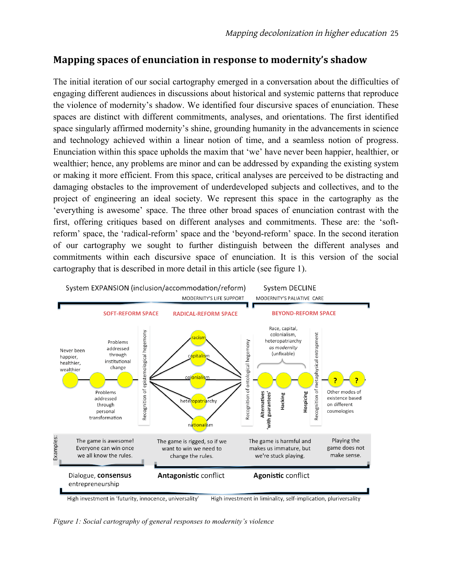# **Mapping spaces of enunciation in response to modernity's shadow**

The initial iteration of our social cartography emerged in a conversation about the difficulties of engaging different audiences in discussions about historical and systemic patterns that reproduce the violence of modernity's shadow. We identified four discursive spaces of enunciation. These spaces are distinct with different commitments, analyses, and orientations. The first identified space singularly affirmed modernity's shine, grounding humanity in the advancements in science and technology achieved within a linear notion of time, and a seamless notion of progress. Enunciation within this space upholds the maxim that 'we' have never been happier, healthier, or wealthier; hence, any problems are minor and can be addressed by expanding the existing system or making it more efficient. From this space, critical analyses are perceived to be distracting and damaging obstacles to the improvement of underdeveloped subjects and collectives, and to the project of engineering an ideal society. We represent this space in the cartography as the 'everything is awesome' space. The three other broad spaces of enunciation contrast with the first, offering critiques based on different analyses and commitments. These are: the 'softreform' space, the 'radical-reform' space and the 'beyond-reform' space. In the second iteration of our cartography we sought to further distinguish between the different analyses and commitments within each discursive space of enunciation. It is this version of the social cartography that is described in more detail in this article (see figure 1).



*Figure 1: Social cartography of general responses to modernity's violence*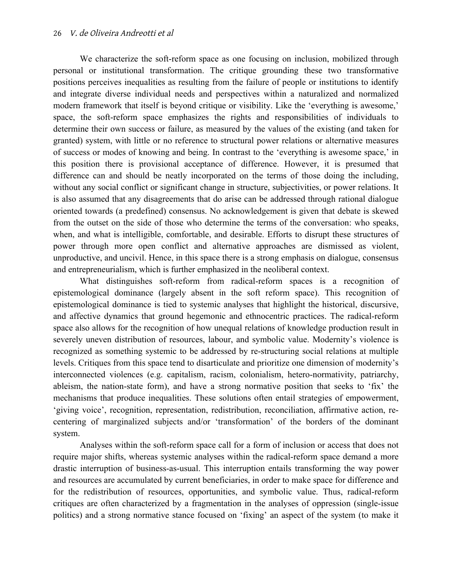We characterize the soft-reform space as one focusing on inclusion, mobilized through personal or institutional transformation. The critique grounding these two transformative positions perceives inequalities as resulting from the failure of people or institutions to identify and integrate diverse individual needs and perspectives within a naturalized and normalized modern framework that itself is beyond critique or visibility. Like the 'everything is awesome,' space, the soft-reform space emphasizes the rights and responsibilities of individuals to determine their own success or failure, as measured by the values of the existing (and taken for granted) system, with little or no reference to structural power relations or alternative measures of success or modes of knowing and being. In contrast to the 'everything is awesome space,' in this position there is provisional acceptance of difference. However, it is presumed that difference can and should be neatly incorporated on the terms of those doing the including, without any social conflict or significant change in structure, subjectivities, or power relations. It is also assumed that any disagreements that do arise can be addressed through rational dialogue oriented towards (a predefined) consensus. No acknowledgement is given that debate is skewed from the outset on the side of those who determine the terms of the conversation: who speaks, when, and what is intelligible, comfortable, and desirable. Efforts to disrupt these structures of power through more open conflict and alternative approaches are dismissed as violent, unproductive, and uncivil. Hence, in this space there is a strong emphasis on dialogue, consensus and entrepreneurialism, which is further emphasized in the neoliberal context.

What distinguishes soft-reform from radical-reform spaces is a recognition of epistemological dominance (largely absent in the soft reform space). This recognition of epistemological dominance is tied to systemic analyses that highlight the historical, discursive, and affective dynamics that ground hegemonic and ethnocentric practices. The radical-reform space also allows for the recognition of how unequal relations of knowledge production result in severely uneven distribution of resources, labour, and symbolic value. Modernity's violence is recognized as something systemic to be addressed by re-structuring social relations at multiple levels. Critiques from this space tend to disarticulate and prioritize one dimension of modernity's interconnected violences (e.g. capitalism, racism, colonialism, hetero-normativity, patriarchy, ableism, the nation-state form), and have a strong normative position that seeks to 'fix' the mechanisms that produce inequalities. These solutions often entail strategies of empowerment, 'giving voice', recognition, representation, redistribution, reconciliation, affirmative action, recentering of marginalized subjects and/or 'transformation' of the borders of the dominant system.

Analyses within the soft-reform space call for a form of inclusion or access that does not require major shifts, whereas systemic analyses within the radical-reform space demand a more drastic interruption of business-as-usual. This interruption entails transforming the way power and resources are accumulated by current beneficiaries, in order to make space for difference and for the redistribution of resources, opportunities, and symbolic value. Thus, radical-reform critiques are often characterized by a fragmentation in the analyses of oppression (single-issue politics) and a strong normative stance focused on 'fixing' an aspect of the system (to make it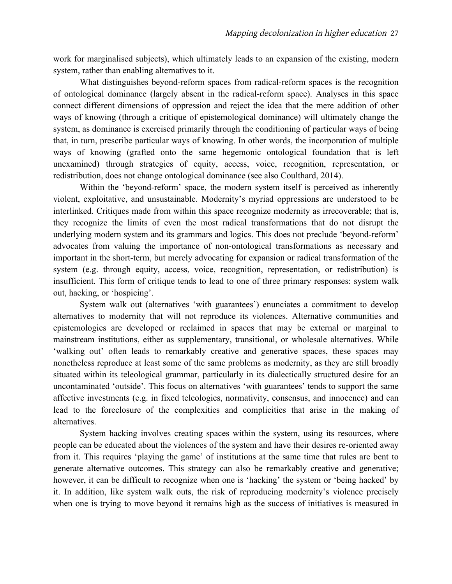work for marginalised subjects), which ultimately leads to an expansion of the existing, modern system, rather than enabling alternatives to it.

What distinguishes beyond-reform spaces from radical-reform spaces is the recognition of ontological dominance (largely absent in the radical-reform space). Analyses in this space connect different dimensions of oppression and reject the idea that the mere addition of other ways of knowing (through a critique of epistemological dominance) will ultimately change the system, as dominance is exercised primarily through the conditioning of particular ways of being that, in turn, prescribe particular ways of knowing. In other words, the incorporation of multiple ways of knowing (grafted onto the same hegemonic ontological foundation that is left unexamined) through strategies of equity, access, voice, recognition, representation, or redistribution, does not change ontological dominance (see also Coulthard, 2014).

Within the 'beyond-reform' space, the modern system itself is perceived as inherently violent, exploitative, and unsustainable. Modernity's myriad oppressions are understood to be interlinked. Critiques made from within this space recognize modernity as irrecoverable; that is, they recognize the limits of even the most radical transformations that do not disrupt the underlying modern system and its grammars and logics. This does not preclude 'beyond-reform' advocates from valuing the importance of non-ontological transformations as necessary and important in the short-term, but merely advocating for expansion or radical transformation of the system (e.g. through equity, access, voice, recognition, representation, or redistribution) is insufficient. This form of critique tends to lead to one of three primary responses: system walk out, hacking, or 'hospicing'.

System walk out (alternatives 'with guarantees') enunciates a commitment to develop alternatives to modernity that will not reproduce its violences. Alternative communities and epistemologies are developed or reclaimed in spaces that may be external or marginal to mainstream institutions, either as supplementary, transitional, or wholesale alternatives. While 'walking out' often leads to remarkably creative and generative spaces, these spaces may nonetheless reproduce at least some of the same problems as modernity, as they are still broadly situated within its teleological grammar, particularly in its dialectically structured desire for an uncontaminated 'outside'. This focus on alternatives 'with guarantees' tends to support the same affective investments (e.g. in fixed teleologies, normativity, consensus, and innocence) and can lead to the foreclosure of the complexities and complicities that arise in the making of alternatives.

System hacking involves creating spaces within the system, using its resources, where people can be educated about the violences of the system and have their desires re-oriented away from it. This requires 'playing the game' of institutions at the same time that rules are bent to generate alternative outcomes. This strategy can also be remarkably creative and generative; however, it can be difficult to recognize when one is 'hacking' the system or 'being hacked' by it. In addition, like system walk outs, the risk of reproducing modernity's violence precisely when one is trying to move beyond it remains high as the success of initiatives is measured in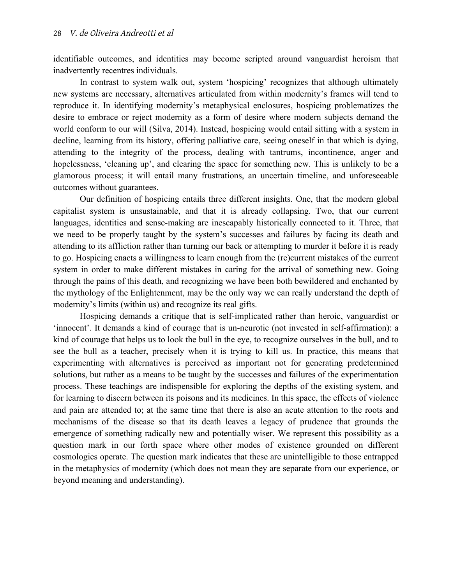identifiable outcomes, and identities may become scripted around vanguardist heroism that inadvertently recentres individuals.

In contrast to system walk out, system 'hospicing' recognizes that although ultimately new systems are necessary, alternatives articulated from within modernity's frames will tend to reproduce it. In identifying modernity's metaphysical enclosures, hospicing problematizes the desire to embrace or reject modernity as a form of desire where modern subjects demand the world conform to our will (Silva, 2014). Instead, hospicing would entail sitting with a system in decline, learning from its history, offering palliative care, seeing oneself in that which is dying, attending to the integrity of the process, dealing with tantrums, incontinence, anger and hopelessness, 'cleaning up', and clearing the space for something new. This is unlikely to be a glamorous process; it will entail many frustrations, an uncertain timeline, and unforeseeable outcomes without guarantees.

Our definition of hospicing entails three different insights. One, that the modern global capitalist system is unsustainable, and that it is already collapsing. Two, that our current languages, identities and sense-making are inescapably historically connected to it. Three, that we need to be properly taught by the system's successes and failures by facing its death and attending to its affliction rather than turning our back or attempting to murder it before it is ready to go. Hospicing enacts a willingness to learn enough from the (re)current mistakes of the current system in order to make different mistakes in caring for the arrival of something new. Going through the pains of this death, and recognizing we have been both bewildered and enchanted by the mythology of the Enlightenment, may be the only way we can really understand the depth of modernity's limits (within us) and recognize its real gifts.

Hospicing demands a critique that is self-implicated rather than heroic, vanguardist or 'innocent'. It demands a kind of courage that is un-neurotic (not invested in self-affirmation): a kind of courage that helps us to look the bull in the eye, to recognize ourselves in the bull, and to see the bull as a teacher, precisely when it is trying to kill us. In practice, this means that experimenting with alternatives is perceived as important not for generating predetermined solutions, but rather as a means to be taught by the successes and failures of the experimentation process. These teachings are indispensible for exploring the depths of the existing system, and for learning to discern between its poisons and its medicines. In this space, the effects of violence and pain are attended to; at the same time that there is also an acute attention to the roots and mechanisms of the disease so that its death leaves a legacy of prudence that grounds the emergence of something radically new and potentially wiser. We represent this possibility as a question mark in our forth space where other modes of existence grounded on different cosmologies operate. The question mark indicates that these are unintelligible to those entrapped in the metaphysics of modernity (which does not mean they are separate from our experience, or beyond meaning and understanding).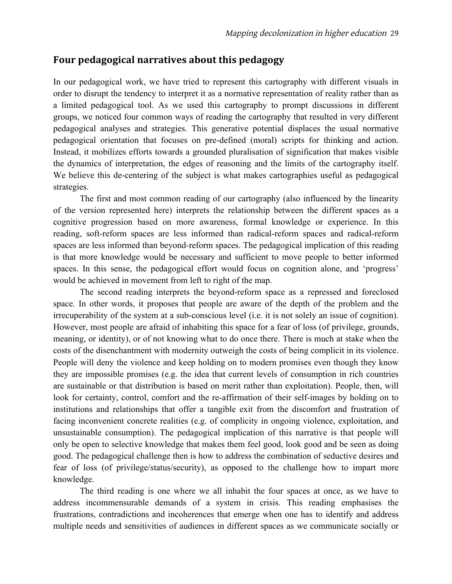## Four pedagogical narratives about this pedagogy

In our pedagogical work, we have tried to represent this cartography with different visuals in order to disrupt the tendency to interpret it as a normative representation of reality rather than as a limited pedagogical tool. As we used this cartography to prompt discussions in different groups, we noticed four common ways of reading the cartography that resulted in very different pedagogical analyses and strategies. This generative potential displaces the usual normative pedagogical orientation that focuses on pre-defined (moral) scripts for thinking and action. Instead, it mobilizes efforts towards a grounded pluralisation of signification that makes visible the dynamics of interpretation, the edges of reasoning and the limits of the cartography itself. We believe this de-centering of the subject is what makes cartographies useful as pedagogical strategies.

The first and most common reading of our cartography (also influenced by the linearity of the version represented here) interprets the relationship between the different spaces as a cognitive progression based on more awareness, formal knowledge or experience. In this reading, soft-reform spaces are less informed than radical-reform spaces and radical-reform spaces are less informed than beyond-reform spaces. The pedagogical implication of this reading is that more knowledge would be necessary and sufficient to move people to better informed spaces. In this sense, the pedagogical effort would focus on cognition alone, and 'progress' would be achieved in movement from left to right of the map.

The second reading interprets the beyond-reform space as a repressed and foreclosed space. In other words, it proposes that people are aware of the depth of the problem and the irrecuperability of the system at a sub-conscious level (i.e. it is not solely an issue of cognition). However, most people are afraid of inhabiting this space for a fear of loss (of privilege, grounds, meaning, or identity), or of not knowing what to do once there. There is much at stake when the costs of the disenchantment with modernity outweigh the costs of being complicit in its violence. People will deny the violence and keep holding on to modern promises even though they know they are impossible promises (e.g. the idea that current levels of consumption in rich countries are sustainable or that distribution is based on merit rather than exploitation). People, then, will look for certainty, control, comfort and the re-affirmation of their self-images by holding on to institutions and relationships that offer a tangible exit from the discomfort and frustration of facing inconvenient concrete realities (e.g. of complicity in ongoing violence, exploitation, and unsustainable consumption). The pedagogical implication of this narrative is that people will only be open to selective knowledge that makes them feel good, look good and be seen as doing good. The pedagogical challenge then is how to address the combination of seductive desires and fear of loss (of privilege/status/security), as opposed to the challenge how to impart more knowledge.

The third reading is one where we all inhabit the four spaces at once, as we have to address incommensurable demands of a system in crisis. This reading emphasises the frustrations, contradictions and incoherences that emerge when one has to identify and address multiple needs and sensitivities of audiences in different spaces as we communicate socially or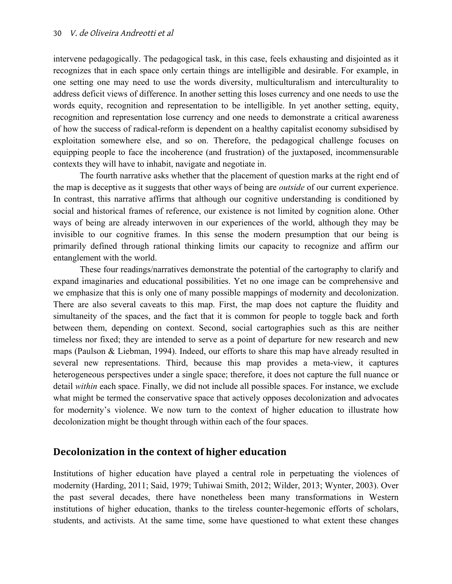intervene pedagogically. The pedagogical task, in this case, feels exhausting and disjointed as it recognizes that in each space only certain things are intelligible and desirable. For example, in one setting one may need to use the words diversity, multiculturalism and interculturality to address deficit views of difference. In another setting this loses currency and one needs to use the words equity, recognition and representation to be intelligible. In yet another setting, equity, recognition and representation lose currency and one needs to demonstrate a critical awareness of how the success of radical-reform is dependent on a healthy capitalist economy subsidised by exploitation somewhere else, and so on. Therefore, the pedagogical challenge focuses on equipping people to face the incoherence (and frustration) of the juxtaposed, incommensurable contexts they will have to inhabit, navigate and negotiate in.

The fourth narrative asks whether that the placement of question marks at the right end of the map is deceptive as it suggests that other ways of being are *outside* of our current experience. In contrast, this narrative affirms that although our cognitive understanding is conditioned by social and historical frames of reference, our existence is not limited by cognition alone. Other ways of being are already interwoven in our experiences of the world, although they may be invisible to our cognitive frames. In this sense the modern presumption that our being is primarily defined through rational thinking limits our capacity to recognize and affirm our entanglement with the world.

These four readings/narratives demonstrate the potential of the cartography to clarify and expand imaginaries and educational possibilities. Yet no one image can be comprehensive and we emphasize that this is only one of many possible mappings of modernity and decolonization. There are also several caveats to this map. First, the map does not capture the fluidity and simultaneity of the spaces, and the fact that it is common for people to toggle back and forth between them, depending on context. Second, social cartographies such as this are neither timeless nor fixed; they are intended to serve as a point of departure for new research and new maps (Paulson & Liebman, 1994). Indeed, our efforts to share this map have already resulted in several new representations. Third, because this map provides a meta-view, it captures heterogeneous perspectives under a single space; therefore, it does not capture the full nuance or detail *within* each space. Finally, we did not include all possible spaces. For instance, we exclude what might be termed the conservative space that actively opposes decolonization and advocates for modernity's violence. We now turn to the context of higher education to illustrate how decolonization might be thought through within each of the four spaces.

# **Decolonization in the context of higher education**

Institutions of higher education have played a central role in perpetuating the violences of modernity (Harding, 2011; Said, 1979; Tuhiwai Smith, 2012; Wilder, 2013; Wynter, 2003). Over the past several decades, there have nonetheless been many transformations in Western institutions of higher education, thanks to the tireless counter-hegemonic efforts of scholars, students, and activists. At the same time, some have questioned to what extent these changes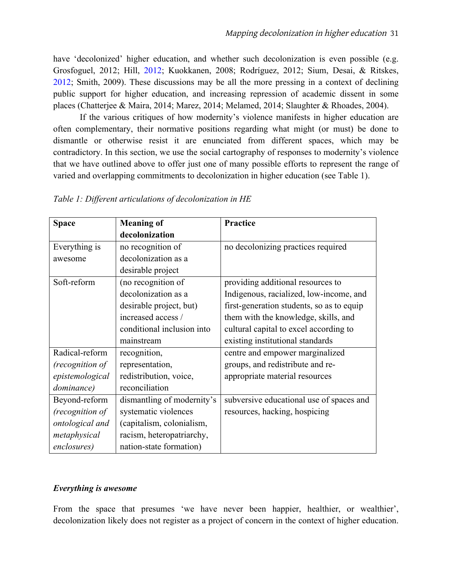have 'decolonized' higher education, and whether such decolonization is even possible (e.g. Grosfoguel, 2012; Hill, [2012;](http://journals.uvic.ca/index.php/peninsula/article/view/11513/321) Kuokkanen, 2008; Rodríguez, 2012; Sium, Desai, & Ritskes, [2012;](http://decolonization.org/index.php/des/article/view/18638/15564) Smith, 2009). These discussions may be all the more pressing in a context of declining public support for higher education, and increasing repression of academic dissent in some places (Chatterjee & Maira, 2014; Marez, 2014; Melamed, 2014; Slaughter & Rhoades, 2004).

If the various critiques of how modernity's violence manifests in higher education are often complementary, their normative positions regarding what might (or must) be done to dismantle or otherwise resist it are enunciated from different spaces, which may be contradictory. In this section, we use the social cartography of responses to modernity's violence that we have outlined above to offer just one of many possible efforts to represent the range of varied and overlapping commitments to decolonization in higher education (see Table 1).

| <b>Space</b>    | <b>Meaning of</b>          | Practice                                  |
|-----------------|----------------------------|-------------------------------------------|
|                 | decolonization             |                                           |
| Everything is   | no recognition of          | no decolonizing practices required        |
| awesome         | decolonization as a        |                                           |
|                 | desirable project          |                                           |
| Soft-reform     | (no recognition of         | providing additional resources to         |
|                 | decolonization as a        | Indigenous, racialized, low-income, and   |
|                 | desirable project, but)    | first-generation students, so as to equip |
|                 | increased access /         | them with the knowledge, skills, and      |
|                 | conditional inclusion into | cultural capital to excel according to    |
|                 | mainstream                 | existing institutional standards          |
| Radical-reform  | recognition,               | centre and empower marginalized           |
| (recognition of | representation,            | groups, and redistribute and re-          |
| epistemological | redistribution, voice,     | appropriate material resources            |
| dominance)      | reconciliation             |                                           |
| Beyond-reform   | dismantling of modernity's | subversive educational use of spaces and  |
| (recognition of | systematic violences       | resources, hacking, hospicing             |
| ontological and | (capitalism, colonialism,  |                                           |
| metaphysical    | racism, heteropatriarchy,  |                                           |
| enclosures)     | nation-state formation)    |                                           |

*Table 1: Different articulations of decolonization in HE*

#### *Everything is awesome*

From the space that presumes 'we have never been happier, healthier, or wealthier', decolonization likely does not register as a project of concern in the context of higher education.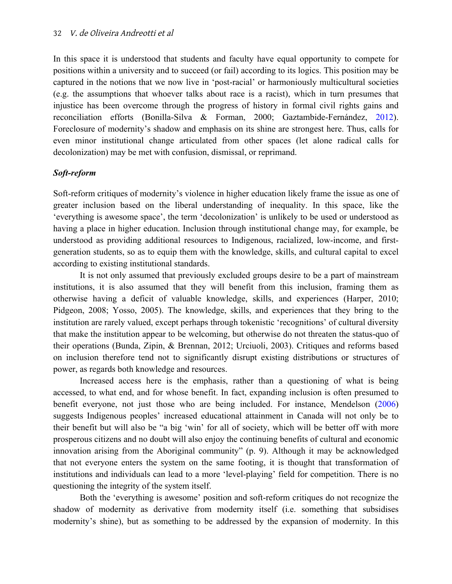In this space it is understood that students and faculty have equal opportunity to compete for positions within a university and to succeed (or fail) according to its logics. This position may be captured in the notions that we now live in 'post-racial' or harmoniously multicultural societies (e.g. the assumptions that whoever talks about race is a racist), which in turn presumes that injustice has been overcome through the progress of history in formal civil rights gains and reconciliation efforts (Bonilla-Silva & Forman, 2000; Gaztambide-Fernández, [2012](http://decolonization.org/index.php/des/article/view/18633/15557)). Foreclosure of modernity's shadow and emphasis on its shine are strongest here. Thus, calls for even minor institutional change articulated from other spaces (let alone radical calls for decolonization) may be met with confusion, dismissal, or reprimand.

#### *Soft-reform*

Soft-reform critiques of modernity's violence in higher education likely frame the issue as one of greater inclusion based on the liberal understanding of inequality. In this space, like the 'everything is awesome space', the term 'decolonization' is unlikely to be used or understood as having a place in higher education. Inclusion through institutional change may, for example, be understood as providing additional resources to Indigenous, racialized, low-income, and firstgeneration students, so as to equip them with the knowledge, skills, and cultural capital to excel according to existing institutional standards.

It is not only assumed that previously excluded groups desire to be a part of mainstream institutions, it is also assumed that they will benefit from this inclusion, framing them as otherwise having a deficit of valuable knowledge, skills, and experiences (Harper, 2010; Pidgeon, 2008; Yosso, 2005). The knowledge, skills, and experiences that they bring to the institution are rarely valued, except perhaps through tokenistic 'recognitions' of cultural diversity that make the institution appear to be welcoming, but otherwise do not threaten the status-quo of their operations (Bunda, Zipin, & Brennan, 2012; Urciuoli, 2003). Critiques and reforms based on inclusion therefore tend not to significantly disrupt existing distributions or structures of power, as regards both knowledge and resources.

Increased access here is the emphasis, rather than a questioning of what is being accessed, to what end, and for whose benefit. In fact, expanding inclusion is often presumed to benefit everyone, not just those who are being included. For instance, Mendelson [\(2006](http://www.turtleisland.org/education/abedalta.pdf)) suggests Indigenous peoples' increased educational attainment in Canada will not only be to their benefit but will also be "a big 'win' for all of society, which will be better off with more prosperous citizens and no doubt will also enjoy the continuing benefits of cultural and economic innovation arising from the Aboriginal community" (p. 9). Although it may be acknowledged that not everyone enters the system on the same footing, it is thought that transformation of institutions and individuals can lead to a more 'level-playing' field for competition. There is no questioning the integrity of the system itself.

Both the 'everything is awesome' position and soft-reform critiques do not recognize the shadow of modernity as derivative from modernity itself (i.e. something that subsidises modernity's shine), but as something to be addressed by the expansion of modernity. In this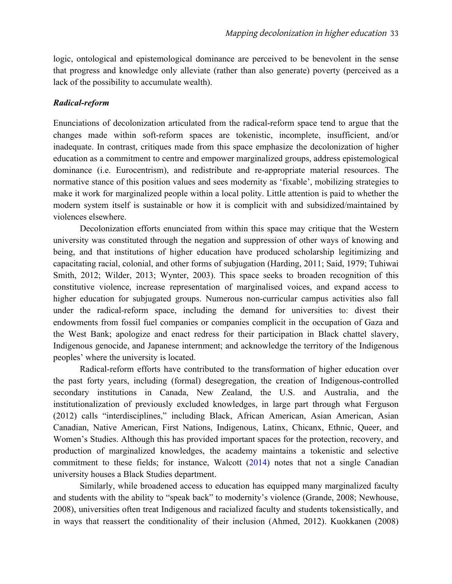logic, ontological and epistemological dominance are perceived to be benevolent in the sense that progress and knowledge only alleviate (rather than also generate) poverty (perceived as a lack of the possibility to accumulate wealth).

#### *Radical-reform*

Enunciations of decolonization articulated from the radical-reform space tend to argue that the changes made within soft-reform spaces are tokenistic, incomplete, insufficient, and/or inadequate. In contrast, critiques made from this space emphasize the decolonization of higher education as a commitment to centre and empower marginalized groups, address epistemological dominance (i.e. Eurocentrism), and redistribute and re-appropriate material resources. The normative stance of this position values and sees modernity as 'fixable', mobilizing strategies to make it work for marginalized people within a local polity. Little attention is paid to whether the modern system itself is sustainable or how it is complicit with and subsidized/maintained by violences elsewhere.

Decolonization efforts enunciated from within this space may critique that the Western university was constituted through the negation and suppression of other ways of knowing and being, and that institutions of higher education have produced scholarship legitimizing and capacitating racial, colonial, and other forms of subjugation (Harding, 2011; Said, 1979; Tuhiwai Smith, 2012; Wilder, 2013; Wynter, 2003). This space seeks to broaden recognition of this constitutive violence, increase representation of marginalised voices, and expand access to higher education for subjugated groups. Numerous non-curricular campus activities also fall under the radical-reform space, including the demand for universities to: divest their endowments from fossil fuel companies or companies complicit in the occupation of Gaza and the West Bank; apologize and enact redress for their participation in Black chattel slavery, Indigenous genocide, and Japanese internment; and acknowledge the territory of the Indigenous peoples' where the university is located.

Radical-reform efforts have contributed to the transformation of higher education over the past forty years, including (formal) desegregation, the creation of Indigenous-controlled secondary institutions in Canada, New Zealand, the U.S. and Australia, and the institutionalization of previously excluded knowledges, in large part through what Ferguson (2012) calls "interdisciplines," including Black, African American, Asian American, Asian Canadian, Native American, First Nations, Indigenous, Latinx, Chicanx, Ethnic, Queer, and Women's Studies. Although this has provided important spaces for the protection, recovery, and production of marginalized knowledges, the academy maintains a tokenistic and selective commitment to these fields; for instance, Walcott [\(2014](http://sfonline.barnard.edu/activism-and-the-academy/if-suddenly/)) notes that not a single Canadian university houses a Black Studies department.

Similarly, while broadened access to education has equipped many marginalized faculty and students with the ability to "speak back" to modernity's violence (Grande, 2008; Newhouse, 2008), universities often treat Indigenous and racialized faculty and students tokensistically, and in ways that reassert the conditionality of their inclusion (Ahmed, 2012). Kuokkanen (2008)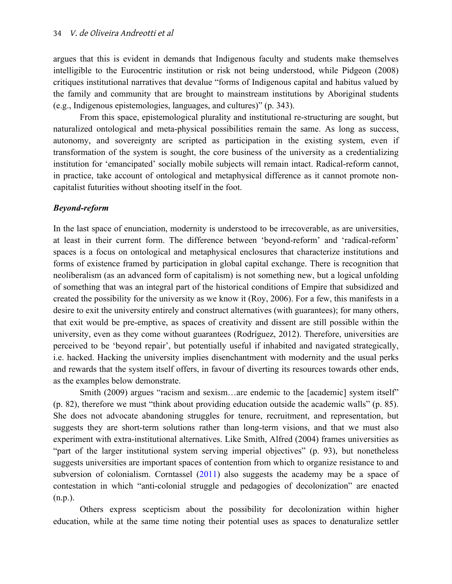argues that this is evident in demands that Indigenous faculty and students make themselves intelligible to the Eurocentric institution or risk not being understood, while Pidgeon (2008) critiques institutional narratives that devalue "forms of Indigenous capital and habitus valued by the family and community that are brought to mainstream institutions by Aboriginal students (e.g., Indigenous epistemologies, languages, and cultures)" (p. 343).

From this space, epistemological plurality and institutional re-structuring are sought, but naturalized ontological and meta-physical possibilities remain the same. As long as success, autonomy, and sovereignty are scripted as participation in the existing system, even if transformation of the system is sought, the core business of the university as a credentializing institution for 'emancipated' socially mobile subjects will remain intact. Radical-reform cannot, in practice, take account of ontological and metaphysical difference as it cannot promote noncapitalist futurities without shooting itself in the foot.

#### *Beyond-reform*

In the last space of enunciation, modernity is understood to be irrecoverable, as are universities, at least in their current form. The difference between 'beyond-reform' and 'radical-reform' spaces is a focus on ontological and metaphysical enclosures that characterize institutions and forms of existence framed by participation in global capital exchange. There is recognition that neoliberalism (as an advanced form of capitalism) is not something new, but a logical unfolding of something that was an integral part of the historical conditions of Empire that subsidized and created the possibility for the university as we know it (Roy, 2006). For a few, this manifests in a desire to exit the university entirely and construct alternatives (with guarantees); for many others, that exit would be pre-emptive, as spaces of creativity and dissent are still possible within the university, even as they come without guarantees (Rodríguez, 2012). Therefore, universities are perceived to be 'beyond repair', but potentially useful if inhabited and navigated strategically, i.e. hacked. Hacking the university implies disenchantment with modernity and the usual perks and rewards that the system itself offers, in favour of diverting its resources towards other ends, as the examples below demonstrate.

Smith (2009) argues "racism and sexism...are endemic to the [academic] system itself" (p. 82), therefore we must "think about providing education outside the academic walls" (p. 85). She does not advocate abandoning struggles for tenure, recruitment, and representation, but suggests they are short-term solutions rather than long-term visions, and that we must also experiment with extra-institutional alternatives. Like Smith, Alfred (2004) frames universities as "part of the larger institutional system serving imperial objectives" (p. 93), but nonetheless suggests universities are important spaces of contention from which to organize resistance to and subversion of colonialism. Corntassel ([2011](http://www.ideas-idees.ca/blog/indigenizing-academy-insurgent-education-and-roles-indigenous-intellectuals)) also suggests the academy may be a space of contestation in which "anti-colonial struggle and pedagogies of decolonization" are enacted (n.p.).

Others express scepticism about the possibility for decolonization within higher education, while at the same time noting their potential uses as spaces to denaturalize settler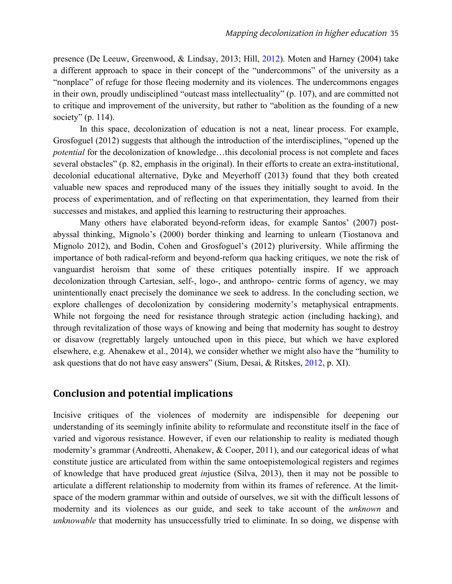presence (De Leeuw, Greenwood, & Lindsay, 2013; Hill, [2012\)](http://journals.uvic.ca/index.php/peninsula/article/view/11513/321). Moten and Harney (2004) take a different approach to space in their concept of the "undercommons" of the university as a "nonplace" of refuge for those fleeing modernity and its violences. The undercommons engages in their own, proudly undisciplined "outcast mass intellectuality" (p. 107), and are committed not to critique and improvement of the university, but rather to "abolition as the founding of a new society" (p. 114).

In this space, decolonization of education is not a neat, linear process. For example, Grosfoguel (2012) suggests that although the introduction of the interdisciplines, "opened up the *potential* for the decolonization of knowledge...this decolonial process is not complete and faces several obstacles" (p. 82, emphasis in the original). In their efforts to create an extra-institutional, decolonial educational alternative, Dyke and Meyerhoff (2013) found that they both created valuable new spaces and reproduced many of the issues they initially sought to avoid. In the process of experimentation, and of reflecting on that experimentation, they learned from their successes and mistakes, and applied this learning to restructuring their approaches.

Many others have elaborated beyond-reform ideas, for example Santos' (2007) postabyssal thinking, Mignolo's (2000) border thinking and learning to unlearn (Tiostanova and Mignolo 2012), and Bodin, Cohen and Grosfoguel's (2012) pluriversity. While affirming the importance of both radical-reform and beyond-reform qua hacking critiques, we note the risk of vanguardist heroism that some of these critiques potentially inspire. If we approach decolonization through Cartesian, self-, logo-, and anthropo- centric forms of agency, we may unintentionally enact precisely the dominance we seek to address. In the concluding section, we explore challenges of decolonization by considering modernity's metaphysical entrapments. While not forgoing the need for resistance through strategic action (including hacking), and through revitalization of those ways of knowing and being that modernity has sought to destroy or disavow (regrettably largely untouched upon in this piece, but which we have explored elsewhere, e.g. Ahenakew et al., 2014), we consider whether we might also have the "humility to ask questions that do not have easy answers" (Sium, Desai, & Ritskes, [2012](http://decolonization.org/index.php/des/article/view/18638/15564), p. XI).

## **Conclusion and potential implications**

Incisive critiques of the violences of modernity are indispensible for deepening our understanding of its seemingly infinite ability to reformulate and reconstitute itself in the face of varied and vigorous resistance. However, if even our relationship to reality is mediated though modernity's grammar (Andreotti, Ahenakew, & Cooper, 2011), and our categorical ideas of what constitute justice are articulated from within the same ontoepistemological registers and regimes of knowledge that have produced great *in*justice (Silva, 2013), then it may not be possible to articulate a different relationship to modernity from within its frames of reference. At the limitspace of the modern grammar within and outside of ourselves, we sit with the difficult lessons of modernity and its violences as our guide, and seek to take account of the *unknown* and *unknowable* that modernity has unsuccessfully tried to eliminate. In so doing, we dispense with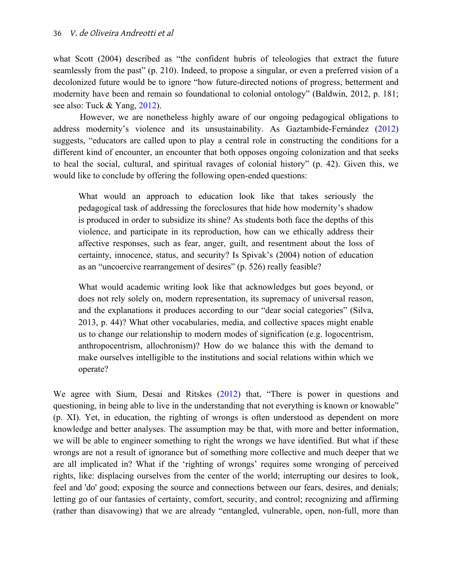what Scott (2004) described as "the confident hubris of teleologies that extract the future seamlessly from the past" (p. 210). Indeed, to propose a singular, or even a preferred vision of a decolonized future would be to ignore "how future-directed notions of progress, betterment and modernity have been and remain so foundational to colonial ontology" (Baldwin, 2012, p. 181; see also: Tuck & Yang, [2012\)](http://decolonization.org/index.php/des/article/view/18630/15554).

However, we are nonetheless highly aware of our ongoing pedagogical obligations to address modernity's violence and its unsustainability. As Gaztambide-Fernández [\(2012](http://decolonization.org/index.php/des/article/view/18633/15557)) suggests, "educators are called upon to play a central role in constructing the conditions for a different kind of encounter, an encounter that both opposes ongoing colonization and that seeks to heal the social, cultural, and spiritual ravages of colonial history" (p. 42). Given this, we would like to conclude by offering the following open-ended questions:

What would an approach to education look like that takes seriously the pedagogical task of addressing the foreclosures that hide how modernity's shadow is produced in order to subsidize its shine? As students both face the depths of this violence, and participate in its reproduction, how can we ethically address their affective responses, such as fear, anger, guilt, and resentment about the loss of certainty, innocence, status, and security? Is Spivak's (2004) notion of education as an "uncoercive rearrangement of desires" (p. 526) really feasible?

What would academic writing look like that acknowledges but goes beyond, or does not rely solely on, modern representation, its supremacy of universal reason, and the explanations it produces according to our "dear social categories" (Silva, 2013, p. 44)? What other vocabularies, media, and collective spaces might enable us to change our relationship to modern modes of signification (e.g. logocentrism, anthropocentrism, allochronism)? How do we balance this with the demand to make ourselves intelligible to the institutions and social relations within which we operate?

We agree with Sium, Desai and Ritskes ([2012\)](http://decolonization.org/index.php/des/article/view/18638/15564) that, "There is power in questions and questioning, in being able to live in the understanding that not everything is known or knowable" (p. XI). Yet, in education, the righting of wrongs is often understood as dependent on more knowledge and better analyses. The assumption may be that, with more and better information, we will be able to engineer something to right the wrongs we have identified. But what if these wrongs are not a result of ignorance but of something more collective and much deeper that we are all implicated in? What if the 'righting of wrongs' requires some wronging of perceived rights, like: displacing ourselves from the center of the world; interrupting our desires to look, feel and 'do' good; exposing the source and connections between our fears, desires, and denials; letting go of our fantasies of certainty, comfort, security, and control; recognizing and affirming (rather than disavowing) that we are already "entangled, vulnerable, open, non-full, more than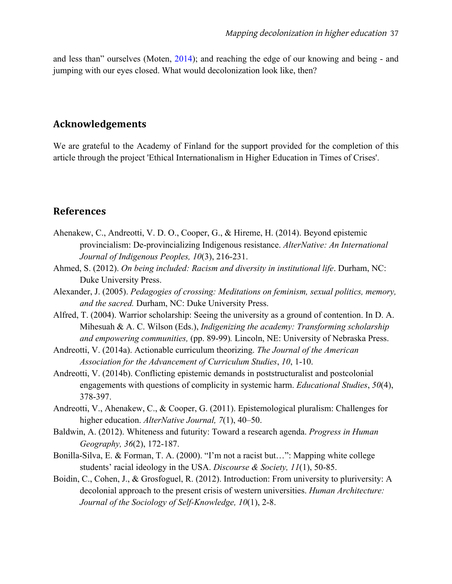and less than" ourselves (Moten, [2014\)](https://vimeo.com/100330139); and reaching the edge of our knowing and being - and jumping with our eyes closed. What would decolonization look like, then?

## **Acknowledgements**

We are grateful to the Academy of Finland for the support provided for the completion of this article through the project 'Ethical Internationalism in Higher Education in Times of Crises'.

## **References**

- Ahenakew, C., Andreotti, V. D. O., Cooper, G., & Hireme, H. (2014). Beyond epistemic provincialism: De-provincializing Indigenous resistance. *AlterNative: An International Journal of Indigenous Peoples, 10*(3), 216-231.
- Ahmed, S. (2012). *On being included: Racism and diversity in institutional life*. Durham, NC: Duke University Press.
- Alexander, J. (2005). *Pedagogies of crossing: Meditations on feminism, sexual politics, memory, and the sacred.* Durham, NC: Duke University Press.
- Alfred, T. (2004). Warrior scholarship: Seeing the university as a ground of contention. In D. A. Mihesuah & A. C. Wilson (Eds.), *Indigenizing the academy: Transforming scholarship and empowering communities,* (pp. 89-99)*.* Lincoln, NE: University of Nebraska Press.
- Andreotti, V. (2014a). Actionable curriculum theorizing. *The Journal of the American Association for the Advancement of Curriculum Studies*, *10*, 1-10.
- Andreotti, V. (2014b). Conflicting epistemic demands in poststructuralist and postcolonial engagements with questions of complicity in systemic harm. *Educational Studies*, *50*(4), 378-397.
- Andreotti, V., Ahenakew, C., & Cooper, G. (2011). Epistemological pluralism: Challenges for higher education. *AlterNative Journal, 7*(1), 40–50.
- Baldwin, A. (2012). Whiteness and futurity: Toward a research agenda. *Progress in Human Geography, 36*(2), 172-187.
- Bonilla-Silva, E. & Forman, T. A. (2000). "I'm not a racist but…": Mapping white college students' racial ideology in the USA. *Discourse & Society, 11*(1), 50-85.
- Boidin, C., Cohen, J., & Grosfoguel, R. (2012). Introduction: From university to pluriversity: A decolonial approach to the present crisis of western universities. *Human Architecture: Journal of the Sociology of Self-Knowledge, 10*(1), 2-8.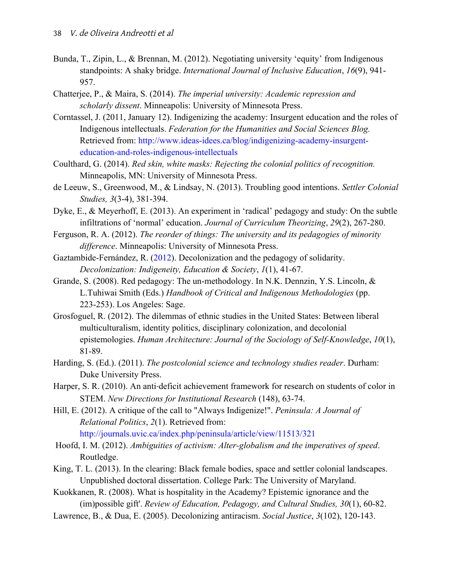- Bunda, T., Zipin, L., & Brennan, M. (2012). Negotiating university 'equity' from Indigenous standpoints: A shaky bridge. *International Journal of Inclusive Education*, *16*(9), 941- 957.
- Chatterjee, P., & Maira, S. (2014). *The imperial university: Academic repression and scholarly dissent*. Minneapolis: University of Minnesota Press.
- Corntassel, J. (2011, January 12). Indigenizing the academy: Insurgent education and the roles of Indigenous intellectuals. *Federation for the Humanities and Social Sciences Blog.* Retrieved from: http://www.ideas-idees.ca/blog/indigenizing-academy-insurgenteducation-and-roles-indigenous-intellectuals
- Coulthard, G. (2014). *Red skin, white masks: Rejecting the colonial politics of recognition.* Minneapolis, MN: University of Minnesota Press.
- de Leeuw, S., Greenwood, M., & Lindsay, N. (2013). Troubling good intentions. *Settler Colonial Studies, 3*(3-4), 381-394.
- Dyke, E., & Meyerhoff, E. (2013). An experiment in 'radical' pedagogy and study: On the subtle infiltrations of 'normal' education. *Journal of Curriculum Theorizing*, *29*(2), 267-280.
- Ferguson, R. A. (2012). *The reorder of things: The university and its pedagogies of minority difference*. Minneapolis: University of Minnesota Press.
- Gaztambide-Fernández, R. [\(2012](http://decolonization.org/index.php/des/article/view/18633/15557)). Decolonization and the pedagogy of solidarity. *Decolonization: Indigeneity, Education & Society*, *1*(1), 41-67.
- Grande, S. (2008). Red pedagogy: The un-methodology. In N.K. Dennzin, Y.S. Lincoln, & L.Tuhiwai Smith (Eds.) *Handbook of Critical and Indigenous Methodologies* (pp. 223-253). Los Angeles: Sage.
- Grosfoguel, R. (2012). The dilemmas of ethnic studies in the United States: Between liberal multiculturalism, identity politics, disciplinary colonization, and decolonial epistemologies. *Human Architecture: Journal of the Sociology of Self-Knowledge*, *10*(1), 81-89.
- Harding, S. (Ed.). (2011). *The postcolonial science and technology studies reader*. Durham: Duke University Press.
- Harper, S. R. (2010). An anti-deficit achievement framework for research on students of color in STEM. *New Directions for Institutional Research* (148), 63-74.
- Hill, E. (2012). A critique of the call to "Always Indigenize!". *Peninsula: A Journal of Relational Politics*, *2*(1). Retrieved from: http://journals.uvic.ca/index.php/peninsula/article/view/11513/321
- Hoofd, I. M. (2012). *Ambiguities of activism: Alter-globalism and the imperatives of speed*. Routledge.
- King, T. L. (2013). In the clearing: Black female bodies, space and settler colonial landscapes. Unpublished doctoral dissertation. College Park: The University of Maryland.
- Kuokkanen, R. (2008). What is hospitality in the Academy? Epistemic ignorance and the (im)possible gift'. *Review of Education, Pedagogy, and Cultural Studies, 30*(1), 60-82.
- Lawrence, B., & Dua, E. (2005). Decolonizing antiracism. *Social Justice*, *3*(102), 120-143.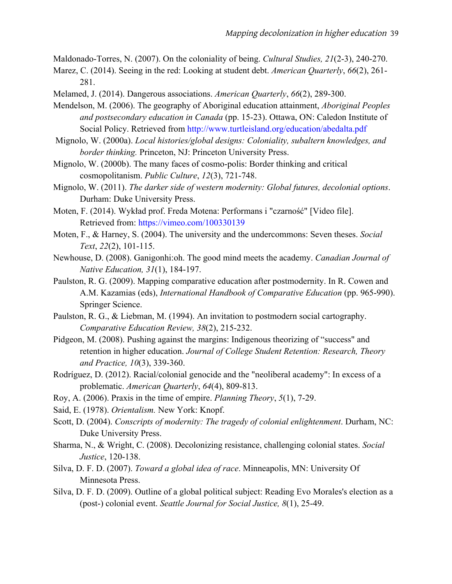Maldonado-Torres, N. (2007). On the coloniality of being. *Cultural Studies, 21*(2-3), 240-270.

Marez, C. (2014). Seeing in the red: Looking at student debt. *American Quarterly*, *66*(2), 261- 281.

Melamed, J. (2014). Dangerous associations. *American Quarterly*, *66*(2), 289-300.

Mendelson, M. (2006). The geography of Aboriginal education attainment, *Aboriginal Peoples and postsecondary education in Canada* (pp. 15-23). Ottawa, ON: Caledon Institute of Social Policy. Retrieved from http://www.turtleisland.org/education/abedalta.pdf

Mignolo, W. (2000a). *Local histories/global designs: Coloniality, subaltern knowledges, and border thinking.* Princeton, NJ: Princeton University Press.

Mignolo, W. (2000b). The many faces of cosmo-polis: Border thinking and critical cosmopolitanism. *Public Culture*, *12*(3), 721-748.

Mignolo, W. (2011). *The darker side of western modernity: Global futures, decolonial options*. Durham: Duke University Press.

Moten, F. (2014). Wykład prof. Freda Motena: Performans i "czarność" [Video file]. Retrieved from: https://vimeo.com/100330139

Moten, F., & Harney, S. (2004). The university and the undercommons: Seven theses. *Social Text*, *22*(2), 101-115.

Newhouse, D. (2008). Ganigonhi:oh. The good mind meets the academy. *Canadian Journal of Native Education, 31*(1), 184-197.

Paulston, R. G. (2009). Mapping comparative education after postmodernity. In R. Cowen and A.M. Kazamias (eds), *International Handbook of Comparative Education* (pp. 965-990). Springer Science.

Paulston, R. G., & Liebman, M. (1994). An invitation to postmodern social cartography. *Comparative Education Review, 38*(2), 215-232.

Pidgeon, M. (2008). Pushing against the margins: Indigenous theorizing of "success" and retention in higher education. *Journal of College Student Retention: Research, Theory and Practice, 10*(3), 339-360.

Rodríguez, D. (2012). Racial/colonial genocide and the "neoliberal academy": In excess of a problematic. *American Quarterly*, *64*(4), 809-813.

Roy, A. (2006). Praxis in the time of empire. *Planning Theory*, *5*(1), 7-29.

Said, E. (1978). *Orientalism.* New York: Knopf.

Scott, D. (2004). *Conscripts of modernity: The tragedy of colonial enlightenment*. Durham, NC: Duke University Press.

Sharma, N., & Wright, C. (2008). Decolonizing resistance, challenging colonial states. *Social Justice*, 120-138.

Silva, D. F. D. (2007). *Toward a global idea of race*. Minneapolis, MN: University Of Minnesota Press.

Silva, D. F. D. (2009). Outline of a global political subject: Reading Evo Morales's election as a (post-) colonial event. *Seattle Journal for Social Justice, 8*(1), 25-49.